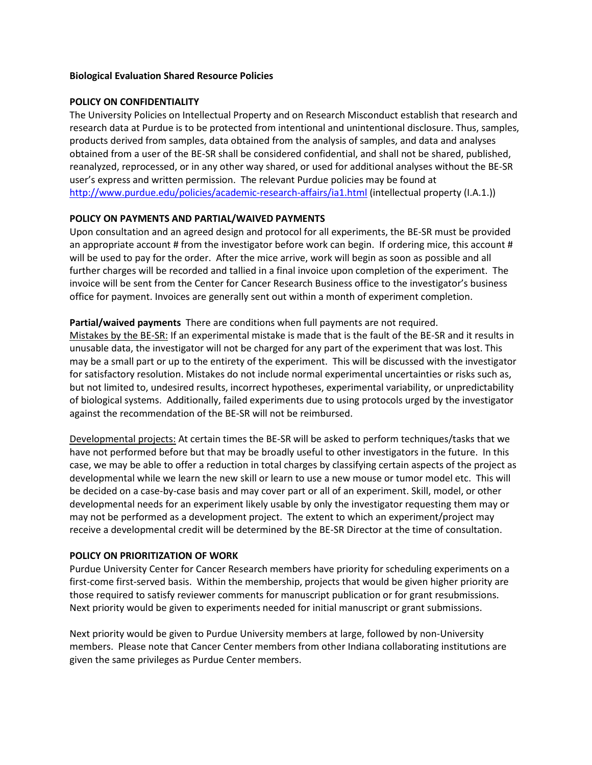#### **Biological Evaluation Shared Resource Policies**

### **POLICY ON CONFIDENTIALITY**

The University Policies on Intellectual Property and on Research Misconduct establish that research and research data at Purdue is to be protected from intentional and unintentional disclosure. Thus, samples, products derived from samples, data obtained from the analysis of samples, and data and analyses obtained from a user of the BE-SR shall be considered confidential, and shall not be shared, published, reanalyzed, reprocessed, or in any other way shared, or used for additional analyses without the BE-SR user's express and written permission. The relevant Purdue policies may be found at <http://www.purdue.edu/policies/academic-research-affairs/ia1.html> (intellectual property (I.A.1.))

## **POLICY ON PAYMENTS AND PARTIAL/WAIVED PAYMENTS**

Upon consultation and an agreed design and protocol for all experiments, the BE-SR must be provided an appropriate account # from the investigator before work can begin. If ordering mice, this account # will be used to pay for the order. After the mice arrive, work will begin as soon as possible and all further charges will be recorded and tallied in a final invoice upon completion of the experiment. The invoice will be sent from the Center for Cancer Research Business office to the investigator's business office for payment. Invoices are generally sent out within a month of experiment completion.

## **Partial/waived payments** There are conditions when full payments are not required.

Mistakes by the BE-SR: If an experimental mistake is made that is the fault of the BE-SR and it results in unusable data, the investigator will not be charged for any part of the experiment that was lost. This may be a small part or up to the entirety of the experiment. This will be discussed with the investigator for satisfactory resolution. Mistakes do not include normal experimental uncertainties or risks such as, but not limited to, undesired results, incorrect hypotheses, experimental variability, or unpredictability of biological systems. Additionally, failed experiments due to using protocols urged by the investigator against the recommendation of the BE-SR will not be reimbursed.

Developmental projects: At certain times the BE-SR will be asked to perform techniques/tasks that we have not performed before but that may be broadly useful to other investigators in the future. In this case, we may be able to offer a reduction in total charges by classifying certain aspects of the project as developmental while we learn the new skill or learn to use a new mouse or tumor model etc. This will be decided on a case-by-case basis and may cover part or all of an experiment. Skill, model, or other developmental needs for an experiment likely usable by only the investigator requesting them may or may not be performed as a development project. The extent to which an experiment/project may receive a developmental credit will be determined by the BE-SR Director at the time of consultation.

#### **POLICY ON PRIORITIZATION OF WORK**

Purdue University Center for Cancer Research members have priority for scheduling experiments on a first-come first-served basis. Within the membership, projects that would be given higher priority are those required to satisfy reviewer comments for manuscript publication or for grant resubmissions. Next priority would be given to experiments needed for initial manuscript or grant submissions.

Next priority would be given to Purdue University members at large, followed by non-University members. Please note that Cancer Center members from other Indiana collaborating institutions are given the same privileges as Purdue Center members.